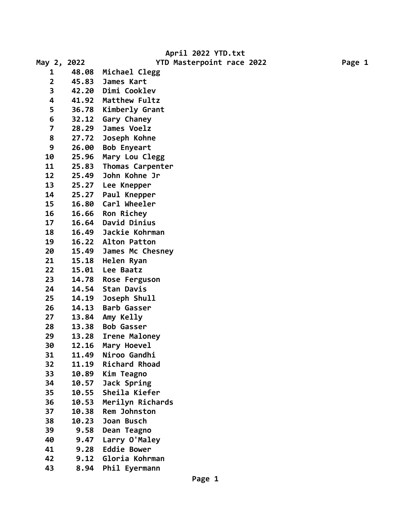**April 2022 YTD.txt**

| May 2, 2022             |       | YTD Masterpoint race 2022 |  | Page 1 |
|-------------------------|-------|---------------------------|--|--------|
| 1                       | 48.08 | Michael Clegg             |  |        |
| $\overline{\mathbf{2}}$ | 45.83 | James Kart                |  |        |
| 3                       | 42.20 | Dimi Cooklev              |  |        |
| 4                       | 41.92 | Matthew Fultz             |  |        |
| 5                       | 36.78 | Kimberly Grant            |  |        |
| 6                       | 32.12 | Gary Chaney               |  |        |
| $\overline{\mathbf{z}}$ | 28.29 | James Voelz               |  |        |
| 8                       | 27.72 | Joseph Kohne              |  |        |
| 9                       | 26.00 | <b>Bob Enyeart</b>        |  |        |
| 10                      | 25.96 | Mary Lou Clegg            |  |        |
| 11                      | 25.83 | Thomas Carpenter          |  |        |
| 12                      | 25.49 | John Kohne Jr             |  |        |
| 13                      | 25.27 | Lee Knepper               |  |        |
| 14                      | 25.27 | Paul Knepper              |  |        |
| 15                      | 16.80 | Carl Wheeler              |  |        |
| 16                      | 16.66 | Ron Richey                |  |        |
| 17                      | 16.64 | David Dinius              |  |        |
| 18                      | 16.49 | Jackie Kohrman            |  |        |
| 19                      | 16.22 | Alton Patton              |  |        |
| 20                      | 15.49 | James Mc Chesney          |  |        |
| 21                      | 15.18 | Helen Ryan                |  |        |
| 22                      | 15.01 | Lee Baatz                 |  |        |
| 23                      | 14.78 | Rose Ferguson             |  |        |
| 24                      | 14.54 | <b>Stan Davis</b>         |  |        |
| 25                      | 14.19 | Joseph Shull              |  |        |
| 26                      | 14.13 | <b>Barb Gasser</b>        |  |        |
| 27                      | 13.84 | Amy Kelly                 |  |        |
| 28                      | 13.38 | <b>Bob Gasser</b>         |  |        |
| 29                      | 13.28 | Irene Maloney             |  |        |
| 30                      | 12.16 | Mary Hoevel               |  |        |
| 31                      | 11.49 | Niroo Gandhi              |  |        |
| 32                      | 11.19 | Richard Rhoad             |  |        |
| 33                      | 10.89 | Kim Teagno                |  |        |
| 34                      | 10.57 | Jack Spring               |  |        |
| 35                      | 10.55 | Sheila Kiefer             |  |        |
| 36                      | 10.53 | Merilyn Richards          |  |        |
| 37                      | 10.38 | Rem Johnston              |  |        |
| 38                      | 10.23 | Joan Busch                |  |        |
| 39                      | 9.58  | Dean Teagno               |  |        |
| 40                      | 9.47  | Larry O'Maley             |  |        |
| 41                      | 9.28  | <b>Eddie Bower</b>        |  |        |
| 42                      | 9.12  | Gloria Kohrman            |  |        |
| 43                      | 8.94  | Phil Eyermann             |  |        |
|                         |       |                           |  |        |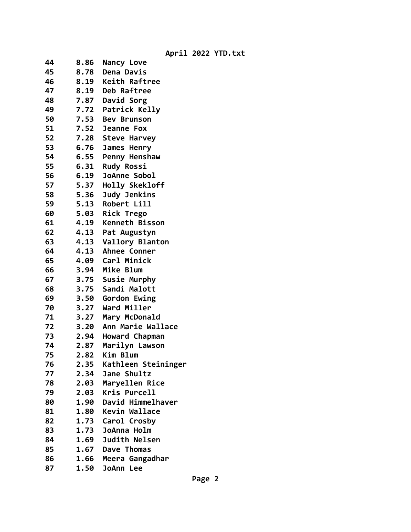**April 2022 YTD.txt**

| 44<br>8.86 | Nancy Love            |
|------------|-----------------------|
| 45<br>8.78 | Dena Davis            |
| 46<br>8.19 | Keith Raftree         |
| 47<br>8.19 | Deb Raftree           |
| 7.87<br>48 | David Sorg            |
| 49         | 7.72 Patrick Kelly    |
| 50         | 7.53 Bev Brunson      |
| 51<br>7.52 | Jeanne Fox            |
| 52<br>7.28 | <b>Steve Harvey</b>   |
| 53<br>6.76 | James Henry           |
| 54<br>6.55 | Penny Henshaw         |
| 55<br>6.31 | <b>Rudy Rossi</b>     |
| 56<br>6.19 | JoAnne Sobol          |
| 57<br>5.37 | Holly Skekloff        |
| 58<br>5.36 | Judy Jenkins          |
| 59<br>5.13 | Robert Lill           |
| 60<br>5.03 | Rick Trego            |
| 61<br>4.19 | <b>Kenneth Bisson</b> |
| 62<br>4.13 | Pat Augustyn          |
| 63<br>4.13 | Vallory Blanton       |
| 64<br>4.13 | Ahnee Conner          |
| 65<br>4.09 | Carl Minick           |
| 66         | 3.94 Mike Blum        |
| 67<br>3.75 | Susie Murphy          |
| 3.75<br>68 | Sandi Malott          |
| 69<br>3.50 | Gordon Ewing          |
| 70<br>3.27 | Ward Miller           |
| 71<br>3.27 | Mary McDonald         |
| 72<br>3.20 | Ann Marie Wallace     |
| 73<br>2.94 | Howard Chapman        |
| 74<br>2.87 | Marilyn Lawson        |
| 75<br>2.82 | Kim Blum              |
| 2.35<br>76 | Kathleen Steininger   |
| 77<br>2.34 | Jane Shultz           |
| 78<br>2.03 | Maryellen Rice        |
| 79<br>2.03 | Kris Purcell          |
| 80<br>1.90 | David Himmelhaver     |
| 81<br>1.80 | Kevin Wallace         |
| 82<br>1.73 | Carol Crosby          |
| 1.73<br>83 | JoAnna Holm           |
| 84<br>1.69 | <b>Judith Nelsen</b>  |
| 85<br>1.67 | Dave Thomas           |
| 86<br>1.66 | Meera Gangadhar       |
| 87<br>1.50 | JoAnn Lee             |